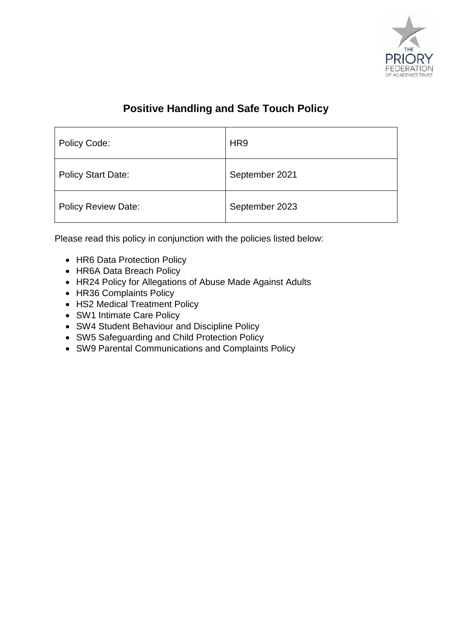

## **Positive Handling and Safe Touch Policy**

| Policy Code:               | HR <sub>9</sub> |
|----------------------------|-----------------|
| <b>Policy Start Date:</b>  | September 2021  |
| <b>Policy Review Date:</b> | September 2023  |

Please read this policy in conjunction with the policies listed below:

- HR6 Data Protection Policy
- HR6A Data Breach Policy
- HR24 Policy for Allegations of Abuse Made Against Adults
- HR36 Complaints Policy
- HS2 Medical Treatment Policy
- SW1 Intimate Care Policy
- SW4 Student Behaviour and Discipline Policy
- SW5 Safeguarding and Child Protection Policy
- SW9 Parental Communications and Complaints Policy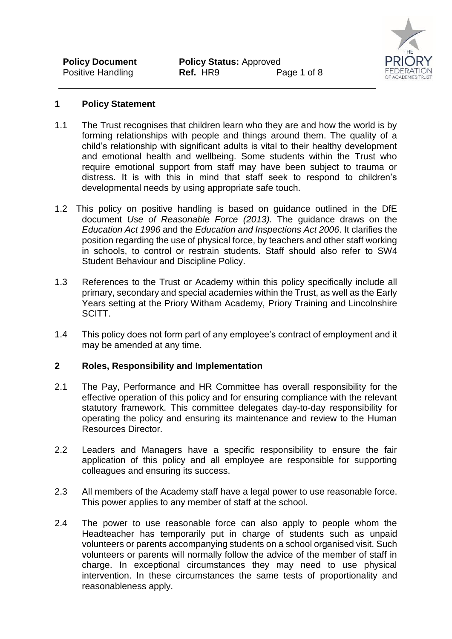

## **1 Policy Statement**

- 1.1 The Trust recognises that children learn who they are and how the world is by forming relationships with people and things around them. The quality of a child's relationship with significant adults is vital to their healthy development and emotional health and wellbeing. Some students within the Trust who require emotional support from staff may have been subject to trauma or distress. It is with this in mind that staff seek to respond to children's developmental needs by using appropriate safe touch.
- 1.2 This policy on positive handling is based on guidance outlined in the DfE document *Use of Reasonable Force (2013).* The guidance draws on the *Education Act 1996* and the *Education and Inspections Act 2006*. It clarifies the position regarding the use of physical force, by teachers and other staff working in schools, to control or restrain students. Staff should also refer to SW4 Student Behaviour and Discipline Policy.
- 1.3 References to the Trust or Academy within this policy specifically include all primary, secondary and special academies within the Trust, as well as the Early Years setting at the Priory Witham Academy, Priory Training and Lincolnshire SCITT.
- 1.4 This policy does not form part of any employee's contract of employment and it may be amended at any time.

#### **2 Roles, Responsibility and Implementation**

- 2.1 The Pay, Performance and HR Committee has overall responsibility for the effective operation of this policy and for ensuring compliance with the relevant statutory framework. This committee delegates day-to-day responsibility for operating the policy and ensuring its maintenance and review to the Human Resources Director.
- 2.2 Leaders and Managers have a specific responsibility to ensure the fair application of this policy and all employee are responsible for supporting colleagues and ensuring its success.
- 2.3 All members of the Academy staff have a legal power to use reasonable force. This power applies to any member of staff at the school.
- 2.4 The power to use reasonable force can also apply to people whom the Headteacher has temporarily put in charge of students such as unpaid volunteers or parents accompanying students on a school organised visit. Such volunteers or parents will normally follow the advice of the member of staff in charge. In exceptional circumstances they may need to use physical intervention. In these circumstances the same tests of proportionality and reasonableness apply.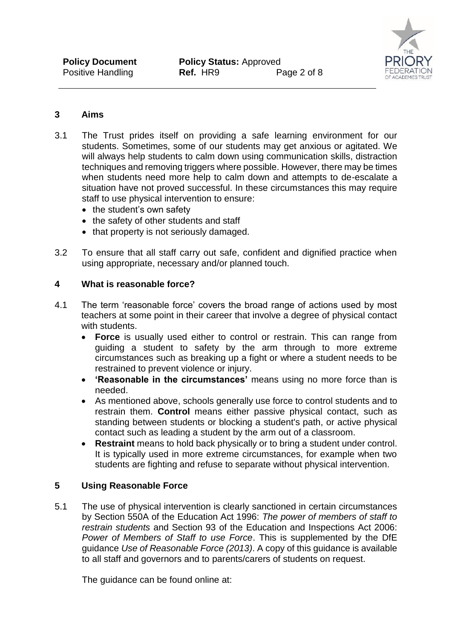

## **3 Aims**

- 3.1 The Trust prides itself on providing a safe learning environment for our students. Sometimes, some of our students may get anxious or agitated. We will always help students to calm down using communication skills, distraction techniques and removing triggers where possible. However, there may be times when students need more help to calm down and attempts to de-escalate a situation have not proved successful. In these circumstances this may require staff to use physical intervention to ensure:
	- the student's own safety
	- the safety of other students and staff
	- that property is not seriously damaged.
- 3.2 To ensure that all staff carry out safe, confident and dignified practice when using appropriate, necessary and/or planned touch.

#### **4 What is reasonable force?**

- 4.1 The term 'reasonable force' covers the broad range of actions used by most teachers at some point in their career that involve a degree of physical contact with students.
	- **Force** is usually used either to control or restrain. This can range from guiding a student to safety by the arm through to more extreme circumstances such as breaking up a fight or where a student needs to be restrained to prevent violence or injury.
	- **'Reasonable in the circumstances'** means using no more force than is needed.
	- As mentioned above, schools generally use force to control students and to restrain them. **Control** means either passive physical contact, such as standing between students or blocking a student's path, or active physical contact such as leading a student by the arm out of a classroom.
	- **Restraint** means to hold back physically or to bring a student under control. It is typically used in more extreme circumstances, for example when two students are fighting and refuse to separate without physical intervention.

## **5 Using Reasonable Force**

5.1 The use of physical intervention is clearly sanctioned in certain circumstances by Section 550A of the Education Act 1996: *The power of members of staff to restrain students* and Section 93 of the Education and Inspections Act 2006: *Power of Members of Staff to use Force*. This is supplemented by the DfE guidance *Use of Reasonable Force (2013)*. A copy of this guidance is available to all staff and governors and to parents/carers of students on request.

The guidance can be found online at: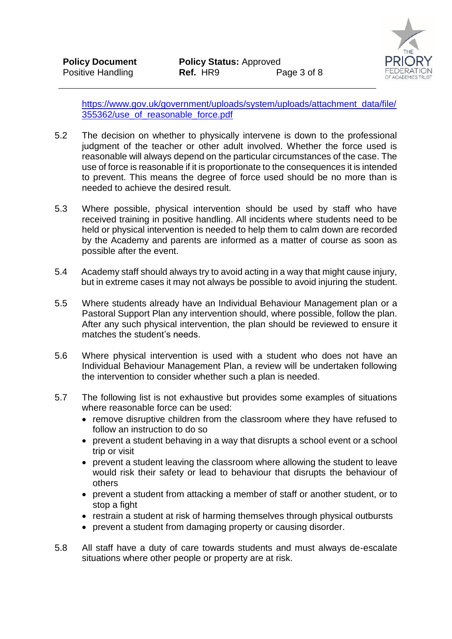

[https://www.gov.uk/government/uploads/system/uploads/attachment\\_data/file/](https://www.gov.uk/government/uploads/system/uploads/attachment_data/file/355362/use_of_reasonable_force.pdf) [355362/use\\_of\\_reasonable\\_force.pdf](https://www.gov.uk/government/uploads/system/uploads/attachment_data/file/355362/use_of_reasonable_force.pdf)

- 5.2 The decision on whether to physically intervene is down to the professional judgment of the teacher or other adult involved. Whether the force used is reasonable will always depend on the particular circumstances of the case. The use of force is reasonable if it is proportionate to the consequences it is intended to prevent. This means the degree of force used should be no more than is needed to achieve the desired result.
- 5.3 Where possible, physical intervention should be used by staff who have received training in positive handling. All incidents where students need to be held or physical intervention is needed to help them to calm down are recorded by the Academy and parents are informed as a matter of course as soon as possible after the event.
- 5.4 Academy staff should always try to avoid acting in a way that might cause injury, but in extreme cases it may not always be possible to avoid injuring the student.
- 5.5 Where students already have an Individual Behaviour Management plan or a Pastoral Support Plan any intervention should, where possible, follow the plan. After any such physical intervention, the plan should be reviewed to ensure it matches the student's needs.
- 5.6 Where physical intervention is used with a student who does not have an Individual Behaviour Management Plan, a review will be undertaken following the intervention to consider whether such a plan is needed.
- 5.7 The following list is not exhaustive but provides some examples of situations where reasonable force can be used:
	- remove disruptive children from the classroom where they have refused to follow an instruction to do so
	- prevent a student behaving in a way that disrupts a school event or a school trip or visit
	- prevent a student leaving the classroom where allowing the student to leave would risk their safety or lead to behaviour that disrupts the behaviour of others
	- prevent a student from attacking a member of staff or another student, or to stop a fight
	- restrain a student at risk of harming themselves through physical outbursts
	- prevent a student from damaging property or causing disorder.
- 5.8 All staff have a duty of care towards students and must always de-escalate situations where other people or property are at risk.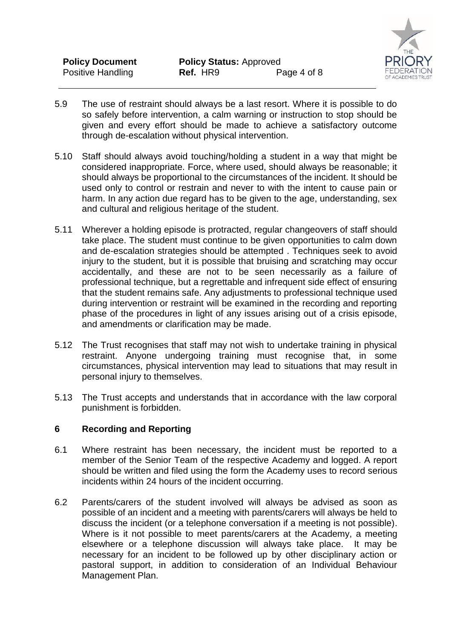

- 5.9 The use of restraint should always be a last resort. Where it is possible to do so safely before intervention, a calm warning or instruction to stop should be given and every effort should be made to achieve a satisfactory outcome through de-escalation without physical intervention.
- 5.10 Staff should always avoid touching/holding a student in a way that might be considered inappropriate. Force, where used, should always be reasonable; it should always be proportional to the circumstances of the incident. It should be used only to control or restrain and never to with the intent to cause pain or harm. In any action due regard has to be given to the age, understanding, sex and cultural and religious heritage of the student.
- 5.11 Wherever a holding episode is protracted, regular changeovers of staff should take place. The student must continue to be given opportunities to calm down and de-escalation strategies should be attempted . Techniques seek to avoid injury to the student, but it is possible that bruising and scratching may occur accidentally, and these are not to be seen necessarily as a failure of professional technique, but a regrettable and infrequent side effect of ensuring that the student remains safe. Any adjustments to professional technique used during intervention or restraint will be examined in the recording and reporting phase of the procedures in light of any issues arising out of a crisis episode, and amendments or clarification may be made.
- 5.12 The Trust recognises that staff may not wish to undertake training in physical restraint. Anyone undergoing training must recognise that, in some circumstances, physical intervention may lead to situations that may result in personal injury to themselves.
- 5.13 The Trust accepts and understands that in accordance with the law corporal punishment is forbidden.

#### **6 Recording and Reporting**

- 6.1 Where restraint has been necessary, the incident must be reported to a member of the Senior Team of the respective Academy and logged. A report should be written and filed using the form the Academy uses to record serious incidents within 24 hours of the incident occurring.
- 6.2 Parents/carers of the student involved will always be advised as soon as possible of an incident and a meeting with parents/carers will always be held to discuss the incident (or a telephone conversation if a meeting is not possible). Where is it not possible to meet parents/carers at the Academy, a meeting elsewhere or a telephone discussion will always take place. It may be necessary for an incident to be followed up by other disciplinary action or pastoral support, in addition to consideration of an Individual Behaviour Management Plan.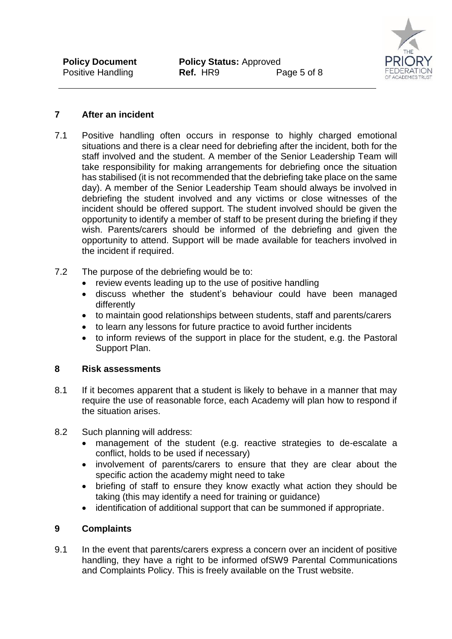

## **7 After an incident**

- 7.1 Positive handling often occurs in response to highly charged emotional situations and there is a clear need for debriefing after the incident, both for the staff involved and the student. A member of the Senior Leadership Team will take responsibility for making arrangements for debriefing once the situation has stabilised (it is not recommended that the debriefing take place on the same day). A member of the Senior Leadership Team should always be involved in debriefing the student involved and any victims or close witnesses of the incident should be offered support. The student involved should be given the opportunity to identify a member of staff to be present during the briefing if they wish. Parents/carers should be informed of the debriefing and given the opportunity to attend. Support will be made available for teachers involved in the incident if required.
- 7.2 The purpose of the debriefing would be to:
	- review events leading up to the use of positive handling
	- discuss whether the student's behaviour could have been managed differently
	- to maintain good relationships between students, staff and parents/carers
	- to learn any lessons for future practice to avoid further incidents
	- to inform reviews of the support in place for the student, e.g. the Pastoral Support Plan.

## **8 Risk assessments**

- 8.1 If it becomes apparent that a student is likely to behave in a manner that may require the use of reasonable force, each Academy will plan how to respond if the situation arises.
- 8.2 Such planning will address:
	- management of the student (e.g. reactive strategies to de-escalate a conflict, holds to be used if necessary)
	- involvement of parents/carers to ensure that they are clear about the specific action the academy might need to take
	- briefing of staff to ensure they know exactly what action they should be taking (this may identify a need for training or guidance)
	- identification of additional support that can be summoned if appropriate.

## **9 Complaints**

9.1 In the event that parents/carers express a concern over an incident of positive handling, they have a right to be informed ofSW9 Parental Communications and Complaints Policy. This is freely available on the Trust website.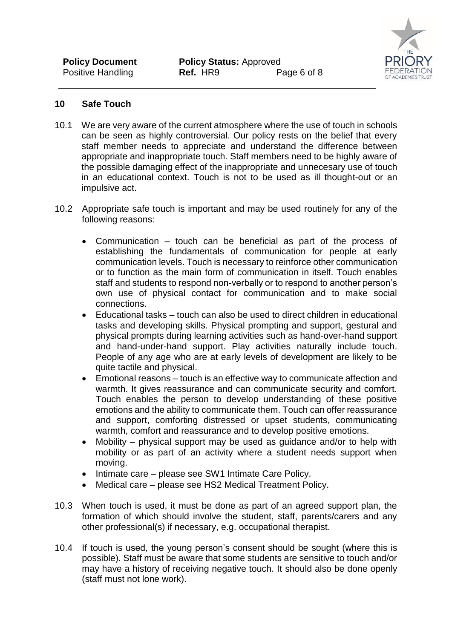

## **10 Safe Touch**

- 10.1 We are very aware of the current atmosphere where the use of touch in schools can be seen as highly controversial. Our policy rests on the belief that every staff member needs to appreciate and understand the difference between appropriate and inappropriate touch. Staff members need to be highly aware of the possible damaging effect of the inappropriate and unnecesary use of touch in an educational context. Touch is not to be used as ill thought-out or an impulsive act.
- 10.2 Appropriate safe touch is important and may be used routinely for any of the following reasons:
	- Communication touch can be beneficial as part of the process of establishing the fundamentals of communication for people at early communication levels. Touch is necessary to reinforce other communication or to function as the main form of communication in itself. Touch enables staff and students to respond non-verbally or to respond to another person's own use of physical contact for communication and to make social connections.
	- Educational tasks touch can also be used to direct children in educational tasks and developing skills. Physical prompting and support, gestural and physical prompts during learning activities such as hand-over-hand support and hand-under-hand support. Play activities naturally include touch. People of any age who are at early levels of development are likely to be quite tactile and physical.
	- Emotional reasons touch is an effective way to communicate affection and warmth. It gives reassurance and can communicate security and comfort. Touch enables the person to develop understanding of these positive emotions and the ability to communicate them. Touch can offer reassurance and support, comforting distressed or upset students, communicating warmth, comfort and reassurance and to develop positive emotions.
	- Mobility physical support may be used as guidance and/or to help with mobility or as part of an activity where a student needs support when moving.
	- Intimate care please see SW1 Intimate Care Policy.
	- Medical care please see HS2 Medical Treatment Policy.
- 10.3 When touch is used, it must be done as part of an agreed support plan, the formation of which should involve the student, staff, parents/carers and any other professional(s) if necessary, e.g. occupational therapist.
- 10.4 If touch is used, the young person's consent should be sought (where this is possible). Staff must be aware that some students are sensitive to touch and/or may have a history of receiving negative touch. It should also be done openly (staff must not lone work).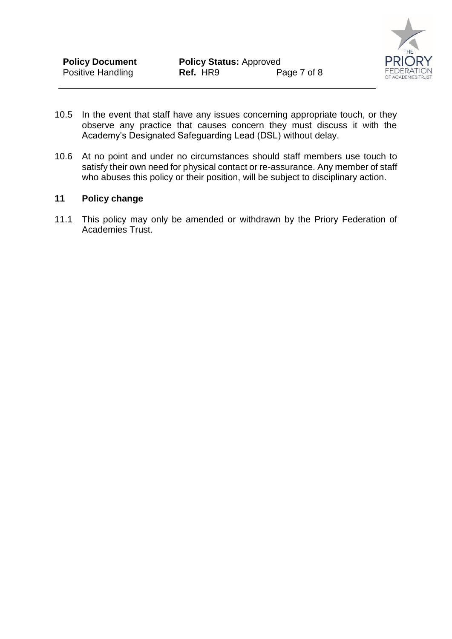

- 10.5 In the event that staff have any issues concerning appropriate touch, or they observe any practice that causes concern they must discuss it with the Academy's Designated Safeguarding Lead (DSL) without delay.
- 10.6 At no point and under no circumstances should staff members use touch to satisfy their own need for physical contact or re-assurance. Any member of staff who abuses this policy or their position, will be subject to disciplinary action.

#### **11 Policy change**

11.1 This policy may only be amended or withdrawn by the Priory Federation of Academies Trust.